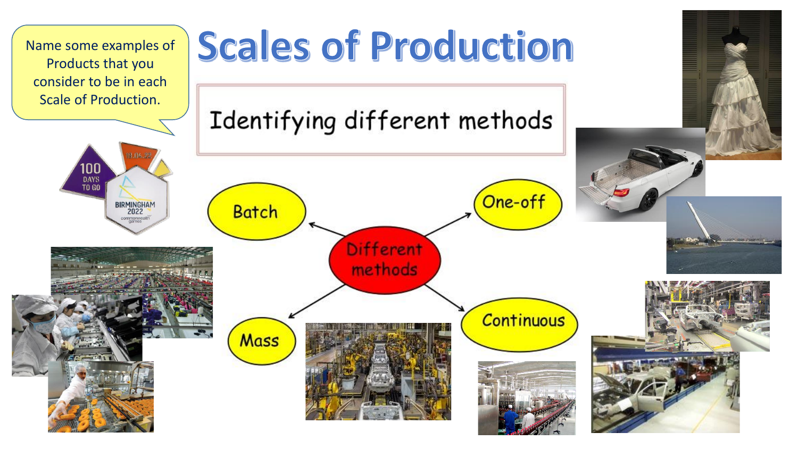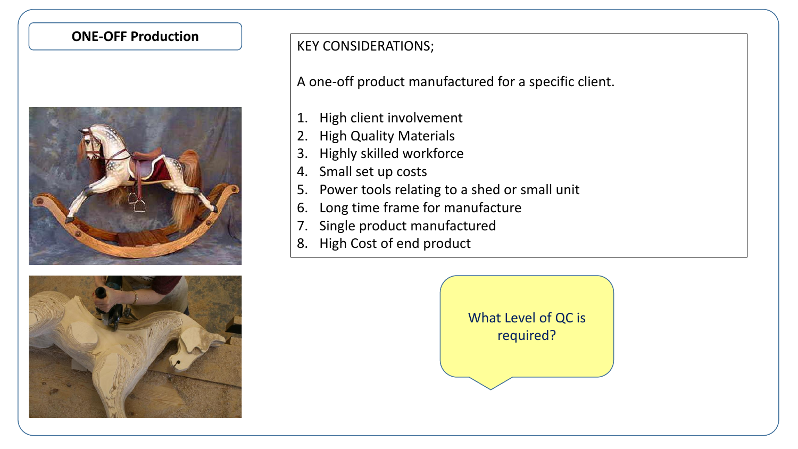



**ONE-OFF Production The Real Production Research Research Research Research Research Research Research Research** 

A one-off product manufactured for a specific client.

- 1. High client involvement
- 2. High Quality Materials
- 3. Highly skilled workforce
- 4. Small set up costs
- 5. Power tools relating to a shed or small unit
- 6. Long time frame for manufacture
- 7. Single product manufactured
- 8. High Cost of end product

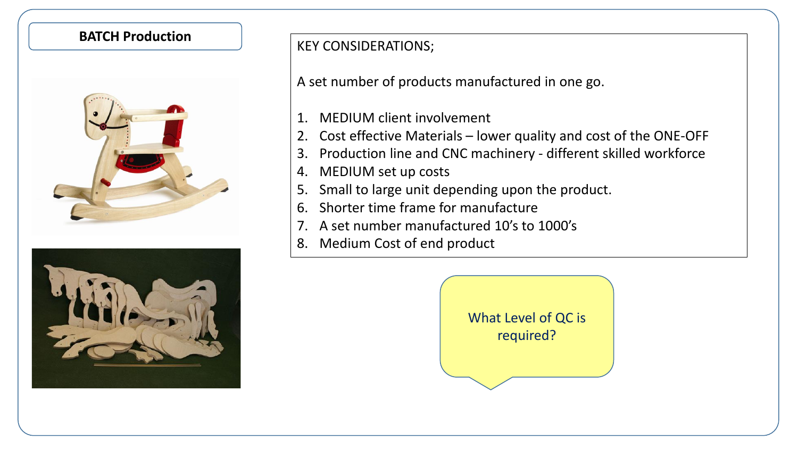



## **BATCH Production**<br> **KEY CONSIDERATIONS;**

A set number of products manufactured in one go.

- 1. MEDIUM client involvement
- 2. Cost effective Materials lower quality and cost of the ONE-OFF
- 3. Production line and CNC machinery different skilled workforce
- 4. MEDIUM set up costs
- 5. Small to large unit depending upon the product.
- 6. Shorter time frame for manufacture
- 7. A set number manufactured 10's to 1000's
- 8. Medium Cost of end product